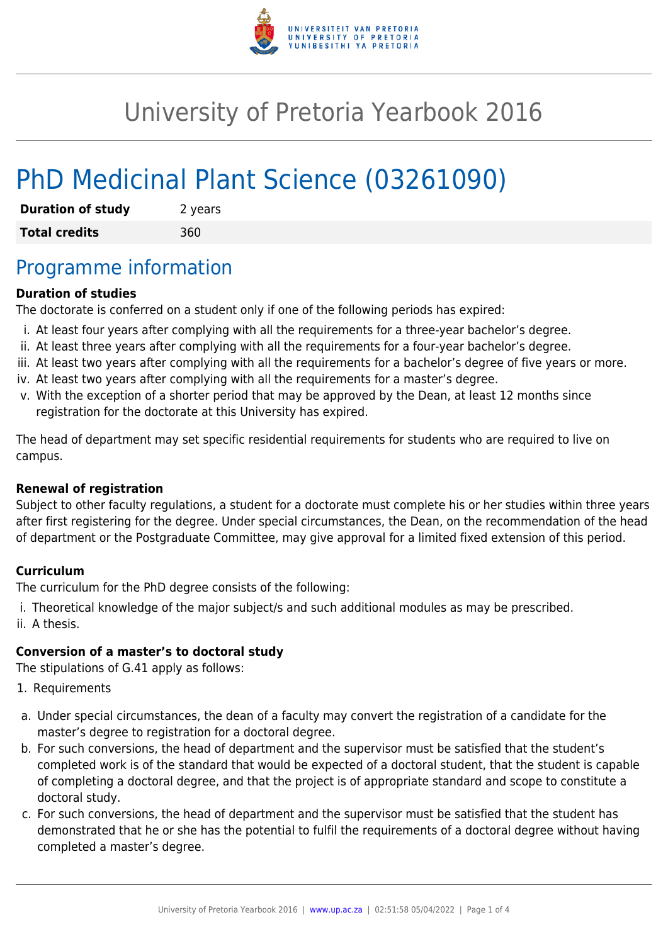

# University of Pretoria Yearbook 2016

# PhD Medicinal Plant Science (03261090)

| <b>Duration of study</b> | 2 years |
|--------------------------|---------|
| <b>Total credits</b>     | 360     |

## Programme information

#### **Duration of studies**

The doctorate is conferred on a student only if one of the following periods has expired:

- i. At least four years after complying with all the requirements for a three-year bachelor's degree.
- ii. At least three years after complying with all the requirements for a four-year bachelor's degree.
- iii. At least two years after complying with all the requirements for a bachelor's degree of five years or more.
- iv. At least two years after complying with all the requirements for a master's degree.
- v. With the exception of a shorter period that may be approved by the Dean, at least 12 months since registration for the doctorate at this University has expired.

The head of department may set specific residential requirements for students who are required to live on campus.

#### **Renewal of registration**

Subject to other faculty regulations, a student for a doctorate must complete his or her studies within three years after first registering for the degree. Under special circumstances, the Dean, on the recommendation of the head of department or the Postgraduate Committee, may give approval for a limited fixed extension of this period.

#### **Curriculum**

The curriculum for the PhD degree consists of the following:

i. Theoretical knowledge of the major subject/s and such additional modules as may be prescribed. ii. A thesis.

#### **Conversion of a master's to doctoral study**

The stipulations of G.41 apply as follows:

- 1. Requirements
- a. Under special circumstances, the dean of a faculty may convert the registration of a candidate for the master's degree to registration for a doctoral degree.
- b. For such conversions, the head of department and the supervisor must be satisfied that the student's completed work is of the standard that would be expected of a doctoral student, that the student is capable of completing a doctoral degree, and that the project is of appropriate standard and scope to constitute a doctoral study.
- c. For such conversions, the head of department and the supervisor must be satisfied that the student has demonstrated that he or she has the potential to fulfil the requirements of a doctoral degree without having completed a master's degree.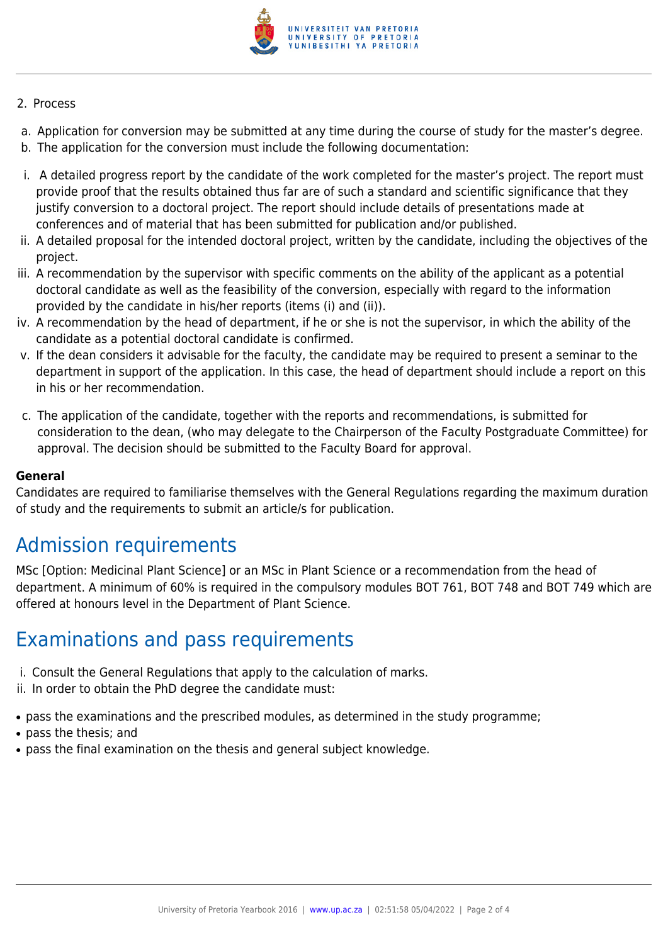

#### 2. Process

- a. Application for conversion may be submitted at any time during the course of study for the master's degree.
- b. The application for the conversion must include the following documentation:
- i. A detailed progress report by the candidate of the work completed for the master's project. The report must provide proof that the results obtained thus far are of such a standard and scientific significance that they justify conversion to a doctoral project. The report should include details of presentations made at conferences and of material that has been submitted for publication and/or published.
- ii. A detailed proposal for the intended doctoral project, written by the candidate, including the objectives of the project.
- iii. A recommendation by the supervisor with specific comments on the ability of the applicant as a potential doctoral candidate as well as the feasibility of the conversion, especially with regard to the information provided by the candidate in his/her reports (items (i) and (ii)).
- iv. A recommendation by the head of department, if he or she is not the supervisor, in which the ability of the candidate as a potential doctoral candidate is confirmed.
- v. If the dean considers it advisable for the faculty, the candidate may be required to present a seminar to the department in support of the application. In this case, the head of department should include a report on this in his or her recommendation.
- c. The application of the candidate, together with the reports and recommendations, is submitted for consideration to the dean, (who may delegate to the Chairperson of the Faculty Postgraduate Committee) for approval. The decision should be submitted to the Faculty Board for approval.

#### **General**

Candidates are required to familiarise themselves with the General Regulations regarding the maximum duration of study and the requirements to submit an article/s for publication.

## Admission requirements

MSc [Option: Medicinal Plant Science] or an MSc in Plant Science or a recommendation from the head of department. A minimum of 60% is required in the compulsory modules BOT 761, BOT 748 and BOT 749 which are offered at honours level in the Department of Plant Science.

### Examinations and pass requirements

- i. Consult the General Regulations that apply to the calculation of marks.
- ii. In order to obtain the PhD degree the candidate must:
- pass the examinations and the prescribed modules, as determined in the study programme;
- pass the thesis: and
- pass the final examination on the thesis and general subject knowledge.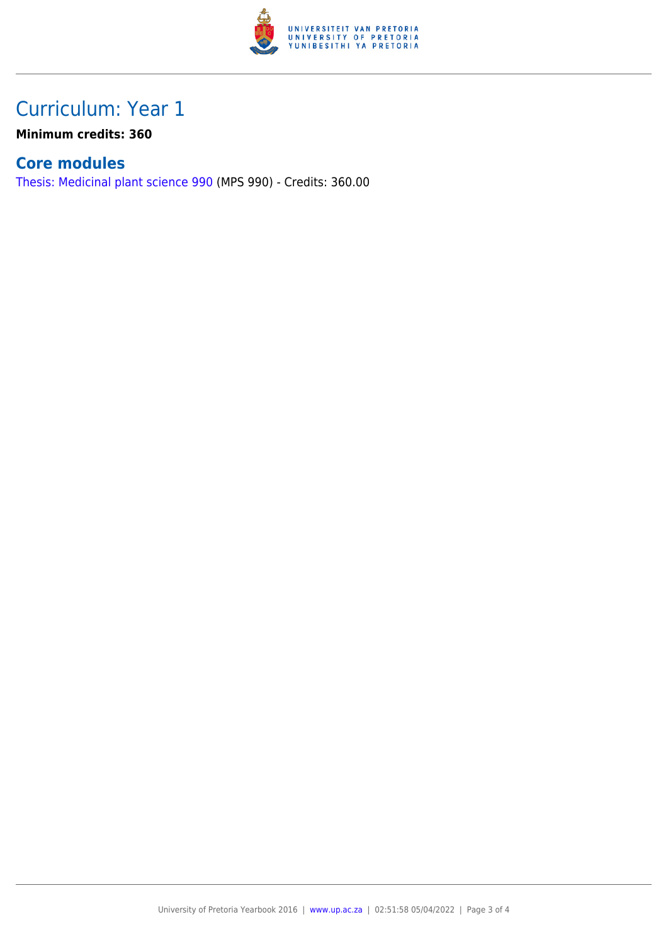

## Curriculum: Year 1

**Minimum credits: 360**

### **Core modules**

[Thesis: Medicinal plant science 990](https://www.up.ac.za/yearbooks/2016/modules/view/MPS 990) (MPS 990) - Credits: 360.00